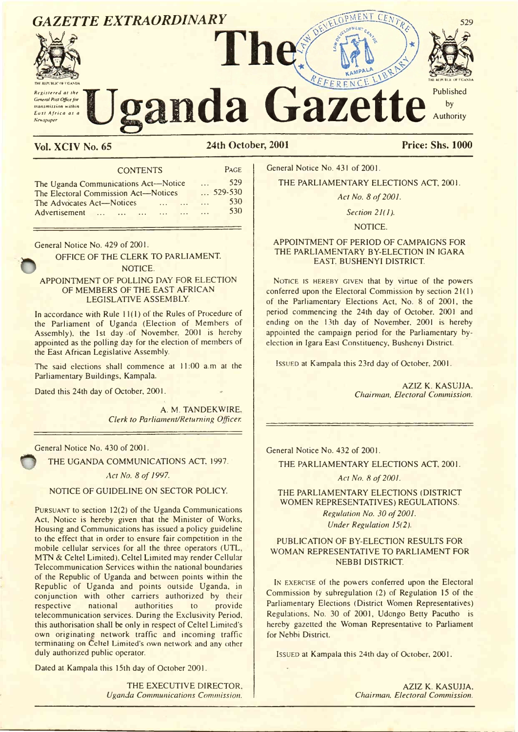

# Vol. XCIV No. 65 24th October, 2001 Price: Shs. 1000

CONTENTS PAGE The Uganda Communications Act—Notice ... 529<br>The Electoral Commission Act—Notices ... 529-530 The Electoral Commission Act—Notices ... 529-530<br>The Advocates Act—Notices ... ... ... 530 The Advocates Act—Notices ..................... 530 Advertisement ... ... ... ... ... ... ...

General Notice No. 429 of 2001.

OFFICE OF THE CLERK TO PARLIAMENT. NOTICE.

## APPOINTMENT OF POLLING DAY FOR ELECTION OF MEMBERS OF THE EAST AFRICAN LEGISLATIVE ASSEMBLY.

In accordance with Rule 11(1) of the Rules of Procedure of the Parliament of Uganda (Election of Members of Assembly), the 1st day -of November. 2001 is hereby appointed as the polling day for the election of members of the East African Legislative Assembly.

The said elections shall commence at 11:00 a.m at the Parliamentary Buildings, Kampala.

Dated this 24th day of October, 2001.

A. M. TANDEKWIRE. *Clerk to Parliament/Returning Officer.* 

General Notice No. 430 of 2001.

THE UGANDA COMMUNICATIONS ACT, 1997.

Act No. 8 of 1997.

NOTICE OF GUIDELINE ON SECTOR POLICY.

PURSUANT to section  $12(2)$  of the Uganda Communications Act, Notice is hereby given that the Minister of Works, Housing and Communications has issued a policy guideline to the effect that in order to ensure fair competition in the mobile cellular services for all the three operators (UTL. MTN & Celtel Limited), Celtel Limited may render Cellular Telecommunication Services within the national boundaries of the Republic of Uganda and between points within the Republic of Uganda and points outside Uganda, in conjunction with other carriers authorized by their respective national authorities to telecommunication services. During the Exclusivity Period, this authorisation shall be only in respect of Celtel Limited's own originating network traffic and incoming traffic terminating on Celtel Limited's own network and any other duly authorized public operator.

Dated at Kampala this 15th day of October 2001.

THE EXECUTIVE DIRECTOR. *Uganda Communications Commission.*

General Notice No. 431 of 2001.

THE PARLIAMENTARY ELECTIONS ACT, 2001.

*Act No. 8 of 2001.* 

*Section 21(1).*

NOTICE.

## APPOINTMENT OF PERIOD OF CAMPAIGNS FOR THE PARLIAMENTARY BY-ELECTION IN IGARA EAST. BUSHENYI DISTRICT.

NOTICE IS HEREBY GIVEN that by virtue of the powers conferred upon the Electoral Commission by section 21(1) of the Parliamentary Elections Act, No. 8 of 2001, the period commencing the 24th day of October. 2001 and ending on the 13th day of November, 2001 is hereby appointed the campaign period for the Parliamentary byelection in Igara East Constituency, Bushenyi District.

ISSUED at Kampala this 23rd day of October, 2001.

AZIZ K. KASUJJA. *Chairman, Electoral Commission.*

General Notice No. 432 of 2001.

THE PARLIAMENTARY ELECTIONS ACT, 2001.

Act No. 8 of 2001.

## THE PARLIAMENTARY ELECTIONS (DISTRICT WOMEN REPRESENTATIVES) REGULATIONS. *Regulation No. 30 of 2001. Under Regulation 15(2).*

## PUBLICATION OF BY-ELECTION RESULTS FOR WOMAN REPRESENTATIVE TO PARLIAMENT FOR NEBBI DISTRICT.

IN EXERCISE of the powers conferred upon the Electoral Commission by subregulation (2) of Regulation 15 of the Parliamentary Elections (District Women Representatives) Regulations. No. 30 of 2001, Udongo Betty Pacutho is hereby gazetted the Woman Representative to Parliament for Nebbi District.

ISSUED at Kampala this 24th day of October, 2001.

AZIZ K. KASUJJA. *Chairman, Electoral Commission.*